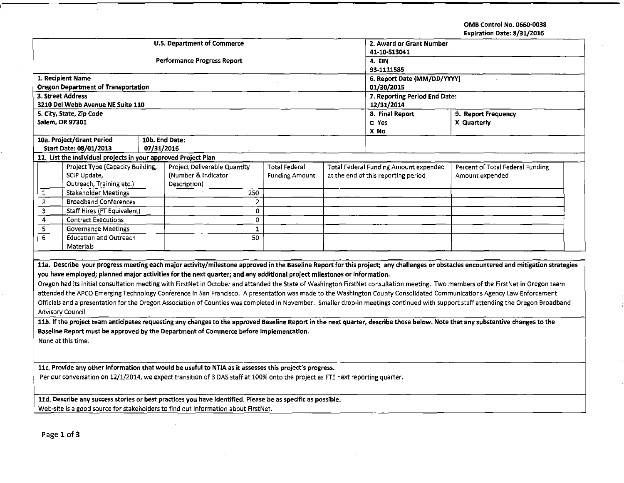OMB Control No. 0660·0038

 $\sim$ 

|                                                                                                                                                                                                                                                                                                                                                                                                                                                                                                                                                                                                                                                                                                                                                                                                                                                                                                                                                                                                                                                                                                                                                                                                                                                                                                                                                                                                                                                    |                                                                |            |                                    |                       |                               |                                        | Expiration Date: 8/31/2016       |  |
|----------------------------------------------------------------------------------------------------------------------------------------------------------------------------------------------------------------------------------------------------------------------------------------------------------------------------------------------------------------------------------------------------------------------------------------------------------------------------------------------------------------------------------------------------------------------------------------------------------------------------------------------------------------------------------------------------------------------------------------------------------------------------------------------------------------------------------------------------------------------------------------------------------------------------------------------------------------------------------------------------------------------------------------------------------------------------------------------------------------------------------------------------------------------------------------------------------------------------------------------------------------------------------------------------------------------------------------------------------------------------------------------------------------------------------------------------|----------------------------------------------------------------|------------|------------------------------------|-----------------------|-------------------------------|----------------------------------------|----------------------------------|--|
|                                                                                                                                                                                                                                                                                                                                                                                                                                                                                                                                                                                                                                                                                                                                                                                                                                                                                                                                                                                                                                                                                                                                                                                                                                                                                                                                                                                                                                                    |                                                                |            | <b>U.S. Department of Commerce</b> |                       | 2. Award or Grant Number      |                                        |                                  |  |
|                                                                                                                                                                                                                                                                                                                                                                                                                                                                                                                                                                                                                                                                                                                                                                                                                                                                                                                                                                                                                                                                                                                                                                                                                                                                                                                                                                                                                                                    |                                                                |            |                                    |                       | 41-10-S13041                  |                                        |                                  |  |
|                                                                                                                                                                                                                                                                                                                                                                                                                                                                                                                                                                                                                                                                                                                                                                                                                                                                                                                                                                                                                                                                                                                                                                                                                                                                                                                                                                                                                                                    |                                                                |            | Performance Progress Report        |                       | 4. EIN                        |                                        |                                  |  |
|                                                                                                                                                                                                                                                                                                                                                                                                                                                                                                                                                                                                                                                                                                                                                                                                                                                                                                                                                                                                                                                                                                                                                                                                                                                                                                                                                                                                                                                    |                                                                |            |                                    |                       | 93-1111585                    |                                        |                                  |  |
|                                                                                                                                                                                                                                                                                                                                                                                                                                                                                                                                                                                                                                                                                                                                                                                                                                                                                                                                                                                                                                                                                                                                                                                                                                                                                                                                                                                                                                                    | 1. Recipient Name                                              |            |                                    |                       | 6. Report Date (MM/DD/YYYY)   |                                        |                                  |  |
|                                                                                                                                                                                                                                                                                                                                                                                                                                                                                                                                                                                                                                                                                                                                                                                                                                                                                                                                                                                                                                                                                                                                                                                                                                                                                                                                                                                                                                                    | <b>Oregon Department of Transportation</b>                     |            |                                    |                       | 01/30/2015                    |                                        |                                  |  |
|                                                                                                                                                                                                                                                                                                                                                                                                                                                                                                                                                                                                                                                                                                                                                                                                                                                                                                                                                                                                                                                                                                                                                                                                                                                                                                                                                                                                                                                    | 3. Street Address                                              |            |                                    |                       | 7. Reporting Period End Date: |                                        |                                  |  |
|                                                                                                                                                                                                                                                                                                                                                                                                                                                                                                                                                                                                                                                                                                                                                                                                                                                                                                                                                                                                                                                                                                                                                                                                                                                                                                                                                                                                                                                    | 3210 Del Webb Avenue NE Suite 110                              |            |                                    |                       |                               | 12/31/2014                             |                                  |  |
|                                                                                                                                                                                                                                                                                                                                                                                                                                                                                                                                                                                                                                                                                                                                                                                                                                                                                                                                                                                                                                                                                                                                                                                                                                                                                                                                                                                                                                                    | 5. City, State, Zip Code                                       |            |                                    |                       |                               | 8. Final Report<br>9. Report Frequency |                                  |  |
|                                                                                                                                                                                                                                                                                                                                                                                                                                                                                                                                                                                                                                                                                                                                                                                                                                                                                                                                                                                                                                                                                                                                                                                                                                                                                                                                                                                                                                                    | Salem, OR 97301                                                |            |                                    |                       |                               | $\square$ Yes                          | X Quarterly                      |  |
|                                                                                                                                                                                                                                                                                                                                                                                                                                                                                                                                                                                                                                                                                                                                                                                                                                                                                                                                                                                                                                                                                                                                                                                                                                                                                                                                                                                                                                                    |                                                                |            |                                    |                       |                               | X No                                   |                                  |  |
|                                                                                                                                                                                                                                                                                                                                                                                                                                                                                                                                                                                                                                                                                                                                                                                                                                                                                                                                                                                                                                                                                                                                                                                                                                                                                                                                                                                                                                                    | 10a. Project/Grant Period                                      |            | 10b. End Date:                     |                       |                               |                                        |                                  |  |
|                                                                                                                                                                                                                                                                                                                                                                                                                                                                                                                                                                                                                                                                                                                                                                                                                                                                                                                                                                                                                                                                                                                                                                                                                                                                                                                                                                                                                                                    | Start Date: 08/01/2013                                         | 07/31/2016 |                                    |                       |                               |                                        |                                  |  |
|                                                                                                                                                                                                                                                                                                                                                                                                                                                                                                                                                                                                                                                                                                                                                                                                                                                                                                                                                                                                                                                                                                                                                                                                                                                                                                                                                                                                                                                    | 11. List the individual projects in your approved Project Plan |            |                                    |                       |                               |                                        |                                  |  |
|                                                                                                                                                                                                                                                                                                                                                                                                                                                                                                                                                                                                                                                                                                                                                                                                                                                                                                                                                                                                                                                                                                                                                                                                                                                                                                                                                                                                                                                    | Project Type (Capacity Building,                               |            | Project Deliverable Quantity       | <b>Total Federal</b>  |                               | Total Federal Funding Amount expended  | Percent of Total Federal Funding |  |
|                                                                                                                                                                                                                                                                                                                                                                                                                                                                                                                                                                                                                                                                                                                                                                                                                                                                                                                                                                                                                                                                                                                                                                                                                                                                                                                                                                                                                                                    | SCIP Update,                                                   |            | (Number & Indicator                | <b>Funding Amount</b> |                               | at the end of this reporting period    | Amount expended                  |  |
|                                                                                                                                                                                                                                                                                                                                                                                                                                                                                                                                                                                                                                                                                                                                                                                                                                                                                                                                                                                                                                                                                                                                                                                                                                                                                                                                                                                                                                                    | Outreach, Training etc.)                                       |            | Description)                       |                       |                               |                                        |                                  |  |
| 1                                                                                                                                                                                                                                                                                                                                                                                                                                                                                                                                                                                                                                                                                                                                                                                                                                                                                                                                                                                                                                                                                                                                                                                                                                                                                                                                                                                                                                                  | <b>Stakeholder Meetings</b>                                    |            | 250                                |                       |                               |                                        |                                  |  |
| $\overline{2}$                                                                                                                                                                                                                                                                                                                                                                                                                                                                                                                                                                                                                                                                                                                                                                                                                                                                                                                                                                                                                                                                                                                                                                                                                                                                                                                                                                                                                                     | <b>Broadband Conferences</b>                                   |            | $\overline{2}$                     |                       |                               |                                        |                                  |  |
| 3                                                                                                                                                                                                                                                                                                                                                                                                                                                                                                                                                                                                                                                                                                                                                                                                                                                                                                                                                                                                                                                                                                                                                                                                                                                                                                                                                                                                                                                  | Staff Hires (FT Equivalent)                                    |            | 0                                  |                       |                               |                                        |                                  |  |
| 4                                                                                                                                                                                                                                                                                                                                                                                                                                                                                                                                                                                                                                                                                                                                                                                                                                                                                                                                                                                                                                                                                                                                                                                                                                                                                                                                                                                                                                                  | <b>Contract Executions</b>                                     |            | 0                                  |                       |                               |                                        |                                  |  |
| 5                                                                                                                                                                                                                                                                                                                                                                                                                                                                                                                                                                                                                                                                                                                                                                                                                                                                                                                                                                                                                                                                                                                                                                                                                                                                                                                                                                                                                                                  | <b>Governance Meetings</b>                                     |            | $\mathbf 1$                        |                       |                               |                                        |                                  |  |
| 6                                                                                                                                                                                                                                                                                                                                                                                                                                                                                                                                                                                                                                                                                                                                                                                                                                                                                                                                                                                                                                                                                                                                                                                                                                                                                                                                                                                                                                                  | <b>Education and Outreach</b>                                  |            | 50                                 |                       |                               |                                        |                                  |  |
|                                                                                                                                                                                                                                                                                                                                                                                                                                                                                                                                                                                                                                                                                                                                                                                                                                                                                                                                                                                                                                                                                                                                                                                                                                                                                                                                                                                                                                                    | Materials                                                      |            |                                    |                       |                               |                                        |                                  |  |
| 11a. Describe your progress meeting each major activity/milestone approved in the Baseline Report for this project; any challenges or obstacles encountered and mitigation strategies<br>you have employed; planned major activities for the next quarter; and any additional project milestones or information.<br>Oregon had its initial consultation meeting with FirstNet in October and attended the State of Washington FirstNet consultation meeting. Two members of the FirstNet in Oregon team<br>attended the APCO Emerging Technology Conference in San Francisco. A presentation was made to the Washington County Consolidated Communications Agency Law Enforcement<br>Officials and a presentation for the Oregon Association of Counties was completed in November. Smaller drop-in meetings continued with support staff attending the Oregon Broadband<br><b>Advisory Council</b><br>11b. If the project team anticipates requesting any changes to the approved Baseline Report in the next quarter, describe those below. Note that any substantive changes to the<br>Baseline Report must be approved by the Department of Commerce before implementation.<br>None at this time.<br>11c. Provide any other information that would be useful to NTIA as it assesses this project's progress.<br>Per our conversation on 12/1/2014, we expect transition of 3 DAS staff at 100% onto the project as FTE next reporting quarter. |                                                                |            |                                    |                       |                               |                                        |                                  |  |
| 11d. Describe any success stories or best practices you have identified. Please be as specific as possible.<br>Web-site is a good source for stakeholders to find out information about FirstNet.                                                                                                                                                                                                                                                                                                                                                                                                                                                                                                                                                                                                                                                                                                                                                                                                                                                                                                                                                                                                                                                                                                                                                                                                                                                  |                                                                |            |                                    |                       |                               |                                        |                                  |  |
|                                                                                                                                                                                                                                                                                                                                                                                                                                                                                                                                                                                                                                                                                                                                                                                                                                                                                                                                                                                                                                                                                                                                                                                                                                                                                                                                                                                                                                                    |                                                                |            |                                    |                       |                               |                                        |                                  |  |

 $\frac{1}{2}$ 

 $\sim 100$ 

 $\sim 10^6$ 

 $\sim$ 

 $\bar{z}$ 

 $\sim 10^7$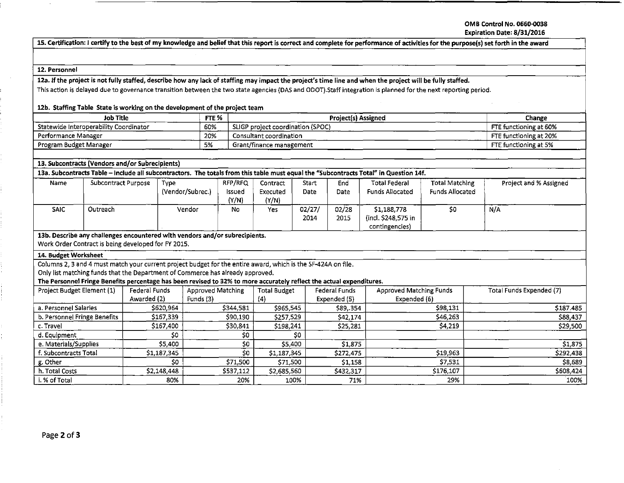#### OMB Control No. 0660-Q038 Expiration Oate: 8/31/2016

Project and % Assigned

I

I

'

15. Certification: I certify to the best of my knowledge and belief that this report is correct and complete for performance of activities for the purpose(s) set forth in the award

# 12. Personnel

12a. If the project is not fully staffed, describe how any lack of staffing may impact the project's time line and when the project will be fully staffed.

This action is delayed due to governance transition between the two state agencies (DAS and ODOT).Staff integration is planned for the next reporting period.

## 12b. Staffing Table State is working on the development of the project team

| Job Title                              | FTE % | <b>Project(s) Assigned</b>        | $-$<br>Change          |
|----------------------------------------|-------|-----------------------------------|------------------------|
| Statewide Interoperability Coordinator | 60%   | SLIGP project coordination (SPOC) | FTE functioning at 60% |
| Performance Manager                    | 20%   | Consultant coordination           | FTE functioning at 20% |
| Program Budget Manager                 | 5%    | Grant/finance management          | FTE functioning at 5%  |

2014 2015 (incl. \$248,575 in

contingencies)

| 13. Subcontracts (Vendors and/or Subrecipients)<br>13a. Subcontracts Table – include all subcontractors. The totals from this table must equal the "Subcontracts Total" in Question 14f. |  |  |  |  |  |  |      |                     |
|------------------------------------------------------------------------------------------------------------------------------------------------------------------------------------------|--|--|--|--|--|--|------|---------------------|
|                                                                                                                                                                                          |  |  |  |  |  |  | Name | Subcontract Purpose |

SAIC | Outreach | Vendor | No | Yes | 02/27/ | 02/28 | \$1,188,778 | \$0 | N/A

#### 13b. Describe any challenges encountered with vendors and/or subrecipients.

Work Order Contract is being developed for FY 2015.

## 14. Budget Worksheet

Columns 2, 3 and 4 must match your current project budget for the entire award, which is the SF-424A on file.

Only list matching funds that the Department of Commerce has already approved.

# The Personnel Fringe Benefits percentage has been revised to 32% to more accurately reflect the actual expenditures.

| Project Budget Element (1)   | Federal Funds | Approved Matching | <b>Total Budget</b> | Federal Funds | Approved Matching Funds | Total Funds Expended (7) |
|------------------------------|---------------|-------------------|---------------------|---------------|-------------------------|--------------------------|
|                              | Awarded (2)   | Funds (3)         | $\left( 4 \right)$  | Expended (5)  | Expended (6)            |                          |
| a. Personnel Salaries        | \$620,964     | \$344,581         | \$965,545           | \$89,354      | \$98,131                | \$187.485                |
| b. Personnel Fringe Benefits | \$167,339     | S90,190           | \$257,529           | \$42,174      | \$46,263                | S88,437                  |
| c. Travel                    | \$167,400     | \$30,841          | \$198,241           | \$25,281      | \$4,219                 | \$29,500                 |
| d. Equipment                 |               | \$0               |                     |               |                         |                          |
| e. Materials/Supplies        | \$5,400       | \$0               | \$5,400             | \$1,875       |                         | \$1,875                  |
| f. Subcontracts Total        | \$1,187,345   | \$0               | \$1,187,345         | \$272,475     | \$19,963                | \$292,438                |
| g. Other                     | S0.           | \$71,500          | \$71,500            | \$1,158       | \$7,531                 | \$8,689                  |
| h. Total Costs               | \$2,148,448   | \$537,112         | \$2,685,560         | \$432,317     | \$176,107               | \$608,424                |
| i. % of Total                | 80%           | 20%               | 100%                | 71%           | 29%                     | 100%                     |